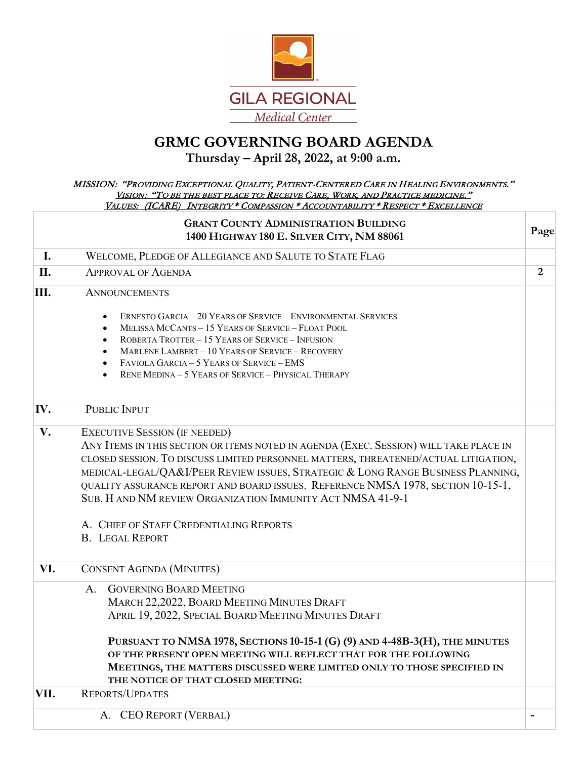

## **GRMC GOVERNING BOARD AGENDA**

## **Thursday – April 28, 2022, at 9:00 a.m.**

## MISSION: "PROVIDING EXCEPTIONAL QUALITY, PATIENT-CENTERED CARE IN HEALING ENVIRONMENTS." VISION: "TO BE THE BEST PLACE TO: RECEIVE CARE, WORK, AND PRACTICE MEDICINE." VALUES: (ICARE) INTEGRITY \* COMPASSION \* ACCOUNTABILITY \* RESPECT \* EXCELLENCE

|      | <b>GRANT COUNTY ADMINISTRATION BUILDING</b><br>1400 HIGHWAY 180 E. SILVER CITY, NM 88061                                                                                                                                                                                                                                                                                                                                                                                                                                        | Page           |
|------|---------------------------------------------------------------------------------------------------------------------------------------------------------------------------------------------------------------------------------------------------------------------------------------------------------------------------------------------------------------------------------------------------------------------------------------------------------------------------------------------------------------------------------|----------------|
| I.   | WELCOME, PLEDGE OF ALLEGIANCE AND SALUTE TO STATE FLAG                                                                                                                                                                                                                                                                                                                                                                                                                                                                          |                |
| II.  | <b>APPROVAL OF AGENDA</b>                                                                                                                                                                                                                                                                                                                                                                                                                                                                                                       | $\overline{2}$ |
| III. | <b>ANNOUNCEMENTS</b>                                                                                                                                                                                                                                                                                                                                                                                                                                                                                                            |                |
|      | <b>ERNESTO GARCIA - 20 YEARS OF SERVICE - ENVIRONMENTAL SERVICES</b><br>MELISSA MCCANTS - 15 YEARS OF SERVICE - FLOAT POOL<br><b>ROBERTA TROTTER - 15 YEARS OF SERVICE - INFUSION</b><br>MARLENE LAMBERT - 10 YEARS OF SERVICE - RECOVERY<br>FAVIOLA GARCIA - 5 YEARS OF SERVICE - EMS<br><b>RENE MEDINA - 5 YEARS OF SERVICE - PHYSICAL THERAPY</b><br>$\bullet$                                                                                                                                                               |                |
| IV.  | <b>PUBLIC INPUT</b>                                                                                                                                                                                                                                                                                                                                                                                                                                                                                                             |                |
| V.   | <b>EXECUTIVE SESSION (IF NEEDED)</b><br>ANY ITEMS IN THIS SECTION OR ITEMS NOTED IN AGENDA (EXEC. SESSION) WILL TAKE PLACE IN<br>CLOSED SESSION. TO DISCUSS LIMITED PERSONNEL MATTERS, THREATENED/ACTUAL LITIGATION,<br>MEDICAL-LEGAL/QA&I/PEER REVIEW ISSUES, STRATEGIC & LONG RANGE BUSINESS PLANNING,<br>QUALITY ASSURANCE REPORT AND BOARD ISSUES. REFERENCE NMSA 1978, SECTION 10-15-1,<br>SUB. H AND NM REVIEW ORGANIZATION IMMUNITY ACT NMSA 41-9-1<br>A. CHIEF OF STAFF CREDENTIALING REPORTS<br><b>B. LEGAL REPORT</b> |                |
| VI.  | <b>CONSENT AGENDA (MINUTES)</b>                                                                                                                                                                                                                                                                                                                                                                                                                                                                                                 |                |
|      | <b>GOVERNING BOARD MEETING</b><br>A <sub>1</sub><br>MARCH 22,2022, BOARD MEETING MINUTES DRAFT<br>APRIL 19, 2022, SPECIAL BOARD MEETING MINUTES DRAFT<br>PURSUANT TO NMSA 1978, SECTIONS 10-15-1 (G) (9) AND 4-48B-3(H), THE MINUTES<br>OF THE PRESENT OPEN MEETING WILL REFLECT THAT FOR THE FOLLOWING<br>MEETINGS, THE MATTERS DISCUSSED WERE LIMITED ONLY TO THOSE SPECIFIED IN<br>THE NOTICE OF THAT CLOSED MEETING:                                                                                                        |                |
| VII. | <b>REPORTS/UPDATES</b>                                                                                                                                                                                                                                                                                                                                                                                                                                                                                                          |                |
|      | <b>CEO REPORT (VERBAL)</b><br>A.                                                                                                                                                                                                                                                                                                                                                                                                                                                                                                |                |